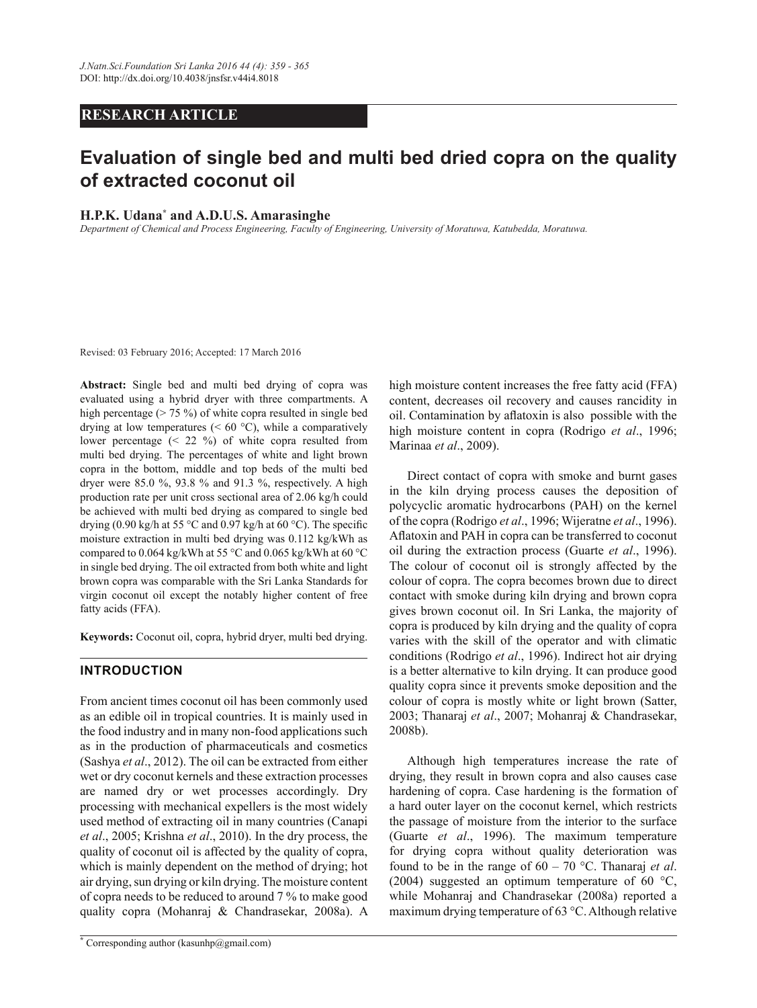# *RESEARCH ARTICLE*

# Evaluation of single bed and multi bed dried copra on the quality **Rightary** Coconut oil

# **H.P.K.** Udana<sup>\*</sup> and A.D.U.S. Amarasinghe

*Department of Chemical and Process Engineering, Faculty of Engineering, University of Moratuwa, Katubedda, Moratuwa.* 

Revised: 03 February 2016; Accepted: 17 March 2016

Abstract: Single bed and multi bed drying of copra was evaluated using a hybrid dryer with three compartments. A high percentage ( $> 75\%$ ) of white copra resulted in single bed drying at low temperatures ( $\leq 60$  °C), while a comparatively lower percentage (< 22 %) of white copra resulted from multi bed drying. The percentages of white and light brown copra in the bottom, middle and top beds of the multi bed dryer were 85.0 %, 93.8 % and 91.3 %, respectively. A high production rate per unit cross sectional area of 2.06 kg/h could be achieved with multi bed drying as compared to single bed drying (0.90 kg/h at 55 °C and 0.97 kg/h at 60 °C). The specific moisture extraction in multi bed drying was 0.112 kg/kWh as compared to 0.064 kg/kWh at 55 °C and 0.065 kg/kWh at 60 °C in single bed drying. The oil extracted from both white and light brown copra was comparable with the Sri Lanka Standards for virgin coconut oil except the notably higher content of free fatty acids (FFA).

Keywords: Coconut oil, copra, hybrid dryer, multi bed drying.

# **INTRODUCTION**

From ancient times coconut oil has been commonly used as an edible oil in tropical countries. It is mainly used in the food industry and in many non-food applications such as in the production of pharmaceuticals and cosmetics (Sashya *et al*., 2012). The oil can be extracted from either wet or dry coconut kernels and these extraction processes are named dry or wet processes accordingly. Dry processing with mechanical expellers is the most widely used method of extracting oil in many countries (Canapi *et al*., 2005; Krishna *et al*., 2010). In the dry process, the quality of coconut oil is affected by the quality of copra, which is mainly dependent on the method of drying; hot air drying, sun drying or kiln drying. The moisture content of copra needs to be reduced to around 7 % to make good quality copra (Mohanraj & Chandrasekar, 2008a). A high moisture content increases the free fatty acid (FFA) content, decreases oil recovery and causes rancidity in oil. Contamination by aflatoxin is also possible with the high moisture content in copra (Rodrigo *et al*., 1996; Marinaa *et al*., 2009).

 Direct contact of copra with smoke and burnt gases in the kiln drying process causes the deposition of polycyclic aromatic hydrocarbons (PAH) on the kernel of the copra (Rodrigo *et al*., 1996; Wijeratne *et al*., 1996). Aflatoxin and PAH in copra can be transferred to coconut oil during the extraction process (Guarte *et al*., 1996). The colour of coconut oil is strongly affected by the colour of copra. The copra becomes brown due to direct contact with smoke during kiln drying and brown copra gives brown coconut oil. In Sri Lanka, the majority of copra is produced by kiln drying and the quality of copra varies with the skill of the operator and with climatic conditions (Rodrigo *et al*., 1996). Indirect hot air drying is a better alternative to kiln drying. It can produce good quality copra since it prevents smoke deposition and the colour of copra is mostly white or light brown (Satter, 2003; Thanaraj *et al*., 2007; Mohanraj & Chandrasekar, 2008b).

 Although high temperatures increase the rate of drying, they result in brown copra and also causes case hardening of copra. Case hardening is the formation of a hard outer layer on the coconut kernel, which restricts the passage of moisture from the interior to the surface (Guarte *et al*., 1996). The maximum temperature for drying copra without quality deterioration was found to be in the range of 60 – 70 °C. Thanaraj *et al*. (2004) suggested an optimum temperature of 60 °C, while Mohanraj and Chandrasekar (2008a) reported a maximum drying temperature of 63 °C. Although relative

**<sup>\*</sup>** Corresponding author (kasunhp@gmail.com)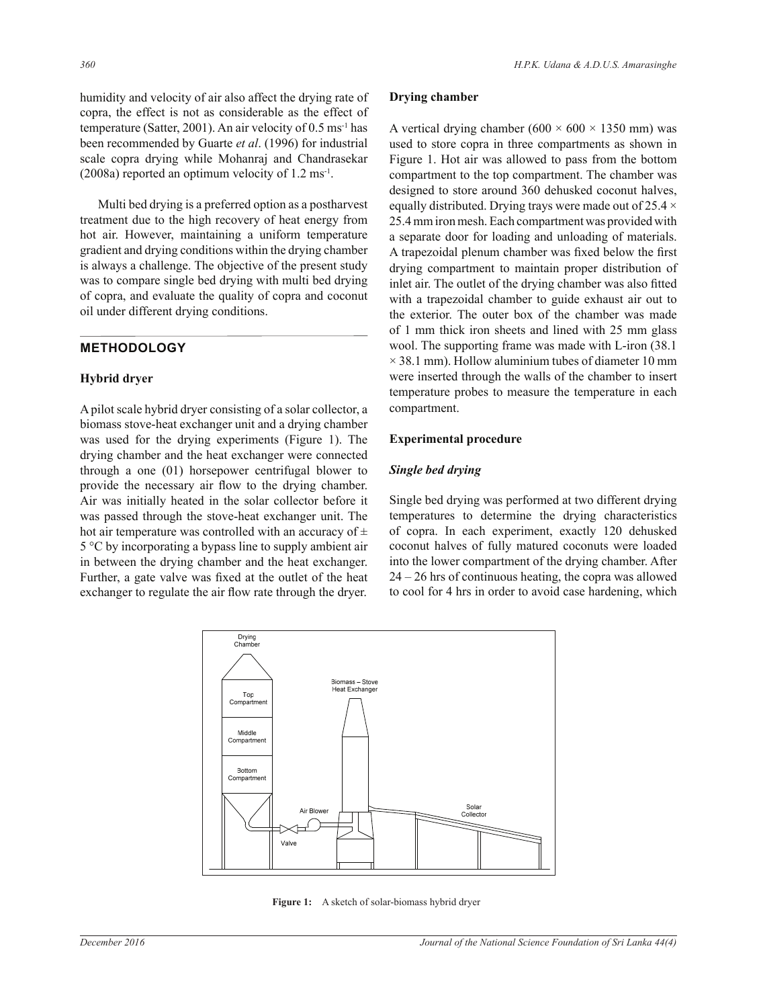humidity and velocity of air also affect the drying rate of copra, the effect is not as considerable as the effect of temperature (Satter, 2001). An air velocity of 0.5 ms-1 has been recommended by Guarte *et al*. (1996) for industrial scale copra drying while Mohanraj and Chandrasekar  $(2008a)$  reported an optimum velocity of 1.2 ms<sup>-1</sup>.

 Multi bed drying is a preferred option as a postharvest treatment due to the high recovery of heat energy from hot air. However, maintaining a uniform temperature gradient and drying conditions within the drying chamber is always a challenge. The objective of the present study was to compare single bed drying with multi bed drying of copra, and evaluate the quality of copra and coconut oil under different drying conditions.

# **METHODOLOGY**

#### **Hybrid dryer**

A pilot scale hybrid dryer consisting of a solar collector, a biomass stove-heat exchanger unit and a drying chamber was used for the drying experiments (Figure 1). The drying chamber and the heat exchanger were connected through a one (01) horsepower centrifugal blower to provide the necessary air flow to the drying chamber. Air was initially heated in the solar collector before it was passed through the stove-heat exchanger unit. The hot air temperature was controlled with an accuracy of  $\pm$ 5 °C by incorporating a bypass line to supply ambient air in between the drying chamber and the heat exchanger. Further, a gate valve was fixed at the outlet of the heat exchanger to regulate the air flow rate through the dryer.

#### **Drying chamber**

A vertical drying chamber ( $600 \times 600 \times 1350$  mm) was used to store copra in three compartments as shown in Figure 1. Hot air was allowed to pass from the bottom compartment to the top compartment. The chamber was designed to store around 360 dehusked coconut halves, equally distributed. Drying trays were made out of 25.4  $\times$ 25.4 mm iron mesh. Each compartment was provided with a separate door for loading and unloading of materials. A trapezoidal plenum chamber was fixed below the first drying compartment to maintain proper distribution of inlet air. The outlet of the drying chamber was also fitted with a trapezoidal chamber to guide exhaust air out to the exterior. The outer box of the chamber was made of 1 mm thick iron sheets and lined with 25 mm glass wool. The supporting frame was made with L-iron (38.1  $\times$  38.1 mm). Hollow aluminium tubes of diameter 10 mm were inserted through the walls of the chamber to insert temperature probes to measure the temperature in each compartment.

#### **Experimental procedure**

#### *Single bed drying*

Single bed drying was performed at two different drying temperatures to determine the drying characteristics of copra. In each experiment, exactly 120 dehusked coconut halves of fully matured coconuts were loaded into the lower compartment of the drying chamber. After  $24 - 26$  hrs of continuous heating, the copra was allowed to cool for 4 hrs in order to avoid case hardening, which



**Figure 1:** A sketch of solar-biomass hybrid dryer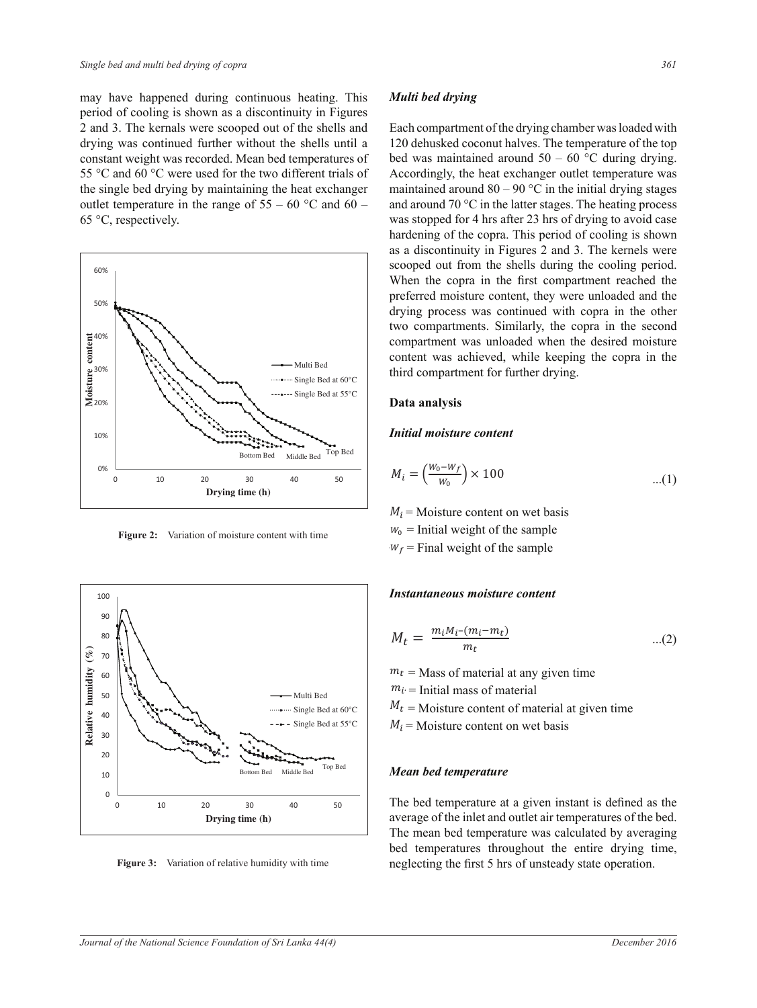may have happened during continuous heating. This period of cooling is shown as a discontinuity in Figures 2 and 3. The kernals were scooped out of the shells and drying was continued further without the shells until a constant weight was recorded. Mean bed temperatures of 55 °C and 60 °C were used for the two different trials of the single bed drying by maintaining the heat exchanger outlet temperature in the range of  $55 - 60$  °C and  $60 -$ 65 °C, respectively.



**Figure 2:** Variation of moisture content with time



**Figure 3:** Variation of relative humidity with time

#### *Multi bed drying*

Each compartment of the drying chamber was loaded with 120 dehusked coconut halves. The temperature of the top bed was maintained around  $50 - 60$  °C during drying. Accordingly, the heat exchanger outlet temperature was maintained around  $80 - 90$  °C in the initial drying stages and around 70 °C in the latter stages. The heating process was stopped for 4 hrs after 23 hrs of drying to avoid case hardening of the copra. This period of cooling is shown as a discontinuity in Figures 2 and 3. The kernels were scooped out from the shells during the cooling period. When the copra in the first compartment reached the preferred moisture content, they were unloaded and the drying process was continued with copra in the other two compartments. Similarly, the copra in the second compartment was unloaded when the desired moisture content was achieved, while keeping the copra in the third compartment for further drying.

#### Data analysis

#### *Initial moisture content*

$$
M_i = \left(\frac{W_0 - W_f}{W_0}\right) \times 100 \tag{1}
$$

 $M_i$  = Moisture content on wet basis ر<br>سا .<br>∷a  $W_f$  = Final weight of the sample  $w_0$  = Initial weight of the sample

#### *Instantaneous moisture content*

$$
M_t = \frac{m_i M_i - (m_i - m_t)}{m_t} \qquad \qquad \dots (2)
$$

 $m_t$  = Mass of material at any given time

 $m_i$  = Initial mass of material

 $M_t$  = Moisture cont = Moisture content of material at given time

 $M_i$  = Moisture  $=$  Moisture content on wet basis

# ܯ ݉ ܯܹ *Mean bed temperature*

<sup>ݐ</sup>ܯ average of the inlet and outlet air temperatures of the bed. The bed temperature at a given instant is defined as the The mean bed temperature was calculated by averaging bed temperatures throughout the entire drying time, neglecting the first 5 hrs of unsteady state operation.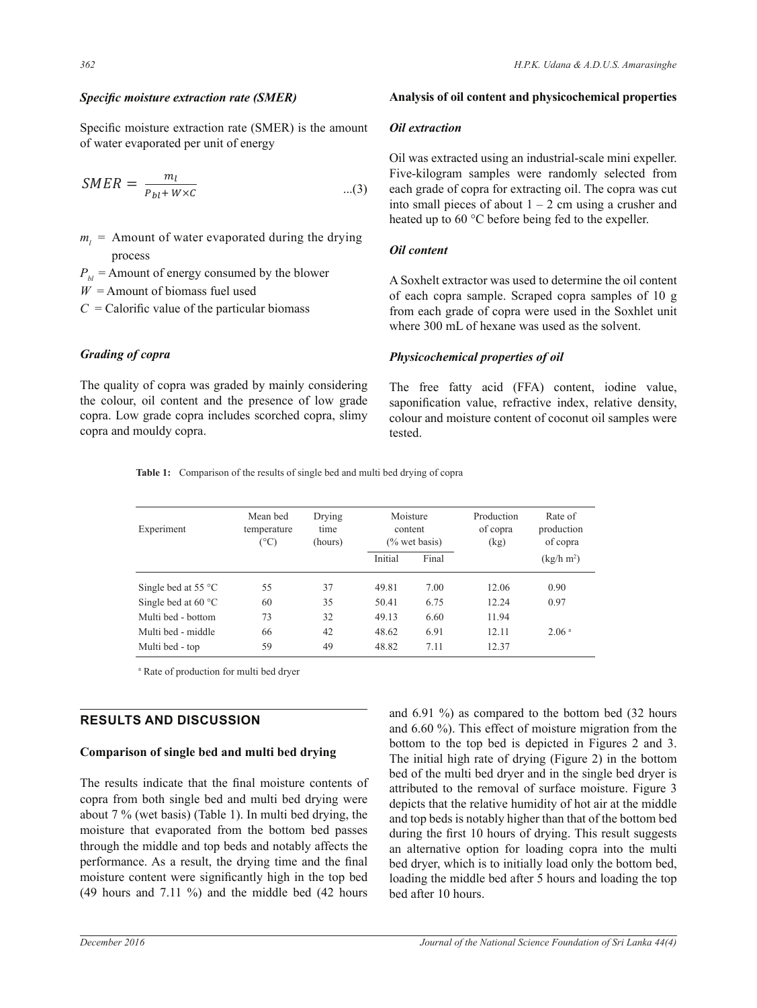### *Specific moisture extraction rate (SMER)*

Specific moisture extraction rate (SMER) is the amount of water evaporated per unit of energy

$$
SMER = \frac{m_l}{P_{bl} + W \times C} \qquad ...(3)
$$

 $m_l$  = Amount of water evaporated during the drying process

 $P_{b}$  = Amount of energy consumed by the blower

 $W =$  Amount of biomass fuel used

 $C =$ Calorific value of the particular biomass

# *Grading of copra*

The quality of copra was graded by mainly considering the colour, oil content and the presence of low grade copra. Low grade copra includes scorched copra, slimy copra and mouldy copra.

### Analysis of oil content and physicochemical properties

#### *<u>Oil</u>* extraction

Oil was extracted using an industrial-scale mini expeller. Five-kilogram samples were randomly selected from each grade of copra for extracting oil. The copra was cut into small pieces of about  $1 - 2$  cm using a crusher and heated up to 60 °C before being fed to the expeller.

### *Oil content*

A Soxhelt extractor was used to determine the oil content of each copra sample. Scraped copra samples of 10 g from each grade of copra were used in the Soxhlet unit where 300 mL of hexane was used as the solvent.

# *Physicochemical properties of oil*

The free fatty acid (FFA) content, iodine value, saponification value, refractive index, relative density, colour and moisture content of coconut oil samples were tested.

Table 1: Comparison of the results of single bed and multi bed drying of copra

| Experiment                    | Mean bed<br>temperature<br>$(^\circ C)$ | Drying<br>time<br>(hours) | Moisture<br>content<br>$(\%$ wet basis) |       | Production<br>of copra<br>(kg) | Rate of<br>production<br>of copra |  |
|-------------------------------|-----------------------------------------|---------------------------|-----------------------------------------|-------|--------------------------------|-----------------------------------|--|
|                               |                                         |                           | Initial                                 | Final |                                | (kg/h m <sup>2</sup> )            |  |
| Single bed at 55 $^{\circ}$ C | 55                                      | 37                        | 49.81                                   | 7.00  | 12.06                          | 0.90                              |  |
| Single bed at $60^{\circ}$ C  | 60                                      | 35                        | 50.41                                   | 6.75  | 12.24                          | 0.97                              |  |
| Multi bed - bottom            | 73                                      | 32                        | 49.13                                   | 6.60  | 11.94                          |                                   |  |
| Multi bed - middle            | 66                                      | 42                        | 48.62                                   | 6.91  | 12.11                          | 2.06 <sup>a</sup>                 |  |
| Multi bed - top               | 59                                      | 49                        | 48.82                                   | 7.11  | 12.37                          |                                   |  |

a Rate of production for multi bed dryer

# **RESULTS AND DISCUSSION**

#### Comparison of single bed and multi bed drying

The results indicate that the final moisture contents of copra from both single bed and multi bed drying were about 7 % (wet basis) (Table 1). In multi bed drying, the moisture that evaporated from the bottom bed passes through the middle and top beds and notably affects the performance. As a result, the drying time and the final moisture content were significantly high in the top bed (49 hours and 7.11 %) and the middle bed (42 hours and 6.91 %) as compared to the bottom bed (32 hours and 6.60 %). This effect of moisture migration from the bottom to the top bed is depicted in Figures 2 and 3. The initial high rate of drying (Figure 2) in the bottom bed of the multi bed dryer and in the single bed dryer is attributed to the removal of surface moisture. Figure 3 depicts that the relative humidity of hot air at the middle and top beds is notably higher than that of the bottom bed during the first 10 hours of drying. This result suggests an alternative option for loading copra into the multi bed dryer, which is to initially load only the bottom bed, loading the middle bed after 5 hours and loading the top bed after 10 hours.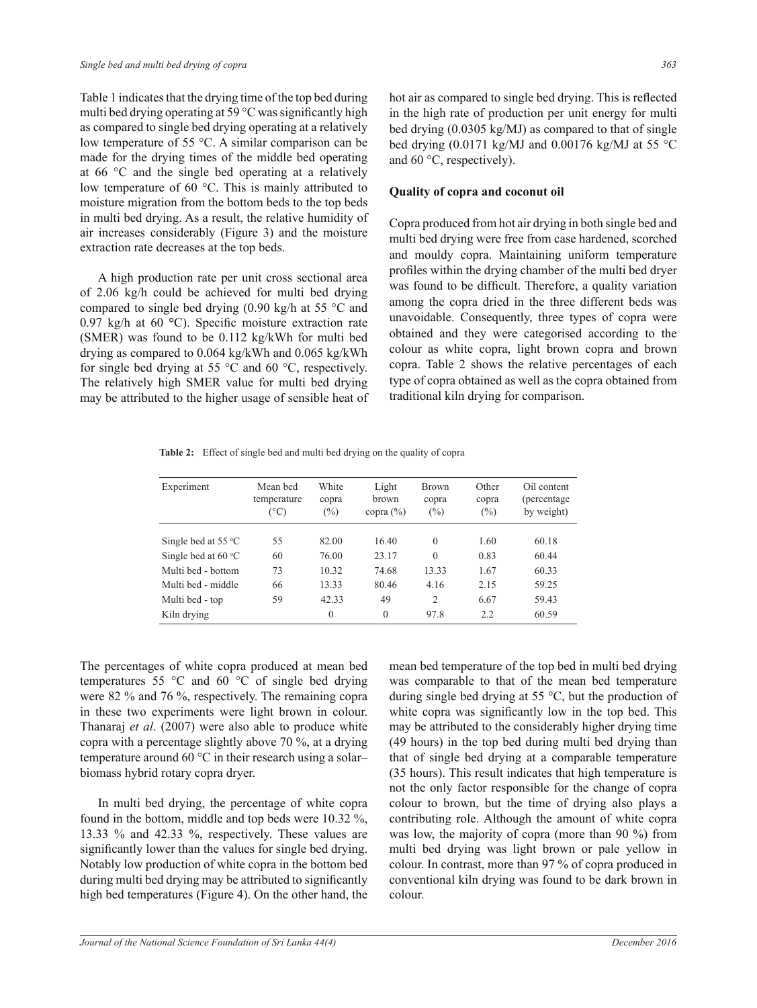Table 1 indicates that the drying time of the top bed during multi bed drying operating at 59  $^{\circ}$ C was significantly high as compared to single bed drying operating at a relatively low temperature of 55 °C. A similar comparison can be made for the drying times of the middle bed operating at 66 °C and the single bed operating at a relatively low temperature of 60 °C. This is mainly attributed to moisture migration from the bottom beds to the top beds in multi bed drying. As a result, the relative humidity of air increases considerably (Figure 3) and the moisture extraction rate decreases at the top beds.

 A high production rate per unit cross sectional area of 2.06 kg/h could be achieved for multi bed drying compared to single bed drying (0.90 kg/h at 55 °C and 0.97 kg/h at 60  $\degree$ C). Specific moisture extraction rate (SMER) was found to be 0.112 kg/kWh for multi bed drying as compared to 0.064 kg/kWh and 0.065 kg/kWh for single bed drying at 55  $\degree$ C and 60  $\degree$ C, respectively. The relatively high SMER value for multi bed drying may be attributed to the higher usage of sensible heat of hot air as compared to single bed drying. This is reflected in the high rate of production per unit energy for multi bed drying (0.0305 kg/MJ) as compared to that of single bed drying  $(0.0171 \text{ kg/MJ}$  and  $0.00176 \text{ kg/MJ}$  at 55 °C and 60 °C, respectively).

#### **Quality of copra and coconut oil**

Copra produced from hot air drying in both single bed and multi bed drying were free from case hardened, scorched and mouldy copra. Maintaining uniform temperature profiles within the drying chamber of the multi bed dryer was found to be difficult. Therefore, a quality variation among the copra dried in the three different beds was unavoidable. Consequently, three types of copra were obtained and they were categorised according to the colour as white copra, light brown copra and brown copra. Table 2 shows the relative percentages of each type of copra obtained as well as the copra obtained from traditional kiln drying for comparison.

Table 2: Effect of single bed and multi bed drying on the quality of copra

| Experiment                   | Mean bed<br>temperature<br>(°C) | White<br>copra<br>$(\%)$ | Light<br>brown<br>copra $(\% )$ | <b>Brown</b><br>copra<br>$(\%)$ | Other<br>copra<br>(%) | Oil content<br>(percentage)<br>by weight) |
|------------------------------|---------------------------------|--------------------------|---------------------------------|---------------------------------|-----------------------|-------------------------------------------|
| Single bed at 55 $\degree$ C | 55                              | 82.00                    | 16.40                           | $\theta$                        | 1.60                  | 60.18                                     |
| Single bed at $60^{\circ}$ C | 60                              | 76.00                    | 23.17                           | $\theta$                        | 0.83                  | 60.44                                     |
| Multi bed - bottom           | 73                              | 10.32                    | 74.68                           | 13.33                           | 1.67                  | 60.33                                     |
| Multi bed - middle           | 66                              | 13.33                    | 80.46                           | 4.16                            | 2.15                  | 59.25                                     |
| Multi bed - top              | 59                              | 42.33                    | 49                              | $\overline{2}$                  | 6.67                  | 59.43                                     |
| Kiln drying                  |                                 | $\theta$                 | $\theta$                        | 97.8                            | 2.2                   | 60.59                                     |

The percentages of white copra produced at mean bed temperatures 55 °C and 60 °C of single bed drying were 82 % and 76 %, respectively. The remaining copra in these two experiments were light brown in colour. Thanaraj *et al*. (2007) were also able to produce white copra with a percentage slightly above 70 %, at a drying temperature around 60 °C in their research using a solar– biomass hybrid rotary copra dryer.

 In multi bed drying, the percentage of white copra found in the bottom, middle and top beds were 10.32 %, 13.33 % and 42.33 %, respectively. These values are significantly lower than the values for single bed drying. Notably low production of white copra in the bottom bed during multi bed drying may be attributed to significantly high bed temperatures (Figure 4). On the other hand, the mean bed temperature of the top bed in multi bed drying was comparable to that of the mean bed temperature during single bed drying at 55 °C, but the production of white copra was significantly low in the top bed. This may be attributed to the considerably higher drying time (49 hours) in the top bed during multi bed drying than that of single bed drying at a comparable temperature (35 hours). This result indicates that high temperature is not the only factor responsible for the change of copra colour to brown, but the time of drying also plays a contributing role. Although the amount of white copra was low, the majority of copra (more than 90 %) from multi bed drying was light brown or pale yellow in colour. In contrast, more than 97 % of copra produced in conventional kiln drying was found to be dark brown in colour.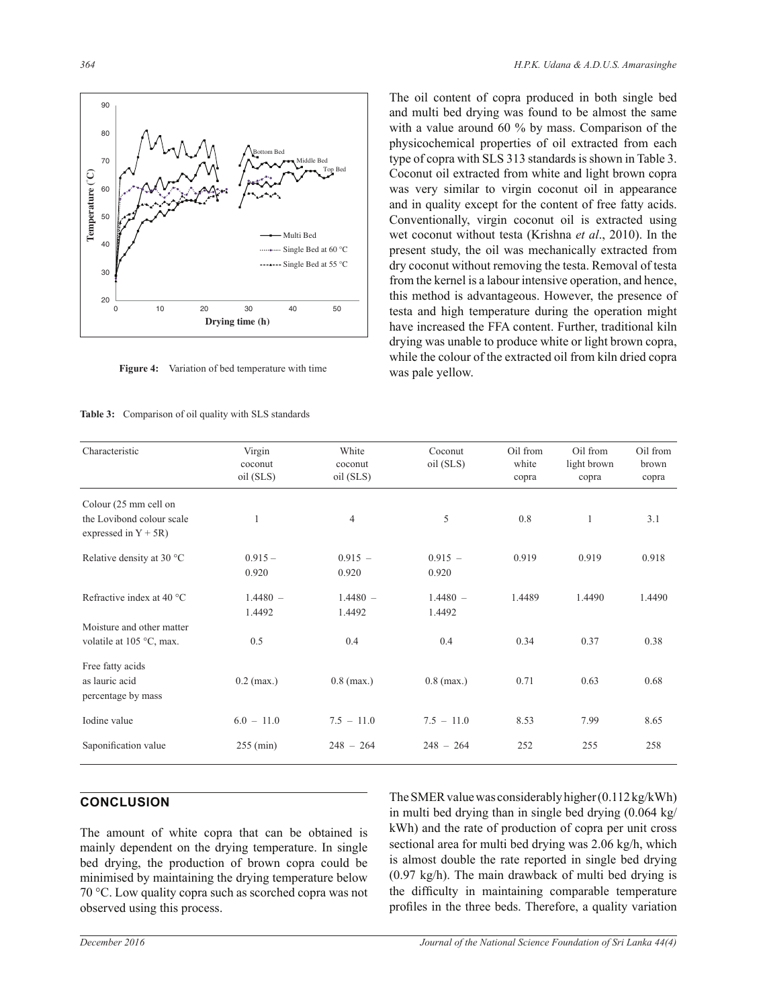

**Figure 4:** Variation of bed temperature with time

#### Table 3: Comparison of oil quality with SLS standards

The oil content of copra produced in both single bed and multi bed drying was found to be almost the same with a value around 60 % by mass. Comparison of the physicochemical properties of oil extracted from each type of copra with SLS 313 standards is shown in Table 3. Coconut oil extracted from white and light brown copra was very similar to virgin coconut oil in appearance and in quality except for the content of free fatty acids. Conventionally, virgin coconut oil is extracted using wet coconut without testa (Krishna *et al*., 2010). In the present study, the oil was mechanically extracted from dry coconut without removing the testa. Removal of testa from the kernel is a labour intensive operation, and hence, this method is advantageous. However, the presence of testa and high temperature during the operation might have increased the FFA content. Further, traditional kiln drying was unable to produce white or light brown copra, while the colour of the extracted oil from kiln dried copra was pale yellow.

| Characteristic                                                                | Virgin<br>coconut<br>oil (SLS) | White<br>coconut<br>oil (SLS) | Coconut<br>oil (SLS) | Oil from<br>white<br>copra | Oil from<br>light brown<br>copra | Oil from<br>brown<br>copra |
|-------------------------------------------------------------------------------|--------------------------------|-------------------------------|----------------------|----------------------------|----------------------------------|----------------------------|
| Colour (25 mm cell on<br>the Lovibond colour scale<br>expressed in $Y + 5R$ ) | 1                              | 4                             | 5                    | 0.8                        | $\mathbf{1}$                     | 3.1                        |
| Relative density at 30 °C                                                     | $0.915 -$<br>0.920             | $0.915 -$<br>0.920            | $0.915 -$<br>0.920   | 0.919                      | 0.919                            | 0.918                      |
| Refractive index at 40 °C                                                     | $1.4480 -$<br>1.4492           | $1.4480 -$<br>1.4492          | $1.4480 -$<br>1.4492 | 1.4489                     | 1.4490                           | 1.4490                     |
| Moisture and other matter<br>volatile at 105 °C, max.                         | 0.5                            | 0.4                           | 0.4                  | 0.34                       | 0.37                             | 0.38                       |
| Free fatty acids<br>as lauric acid<br>percentage by mass                      | $0.2$ (max.)                   | $0.8$ (max.)                  | $0.8$ (max.)         | 0.71                       | 0.63                             | 0.68                       |
| Iodine value                                                                  | $6.0 - 11.0$                   | $7.5 - 11.0$                  | $7.5 - 11.0$         | 8.53                       | 7.99                             | 8.65                       |
| Saponification value                                                          | $255 \text{ (min)}$            | $248 - 264$                   | $248 - 264$          | 252                        | 255                              | 258                        |

# **CONCLUSION**

The amount of white copra that can be obtained is mainly dependent on the drying temperature. In single bed drying, the production of brown copra could be minimised by maintaining the drying temperature below 70 °C. Low quality copra such as scorched copra was not observed using this process.

The SMER value was considerably higher (0.112 kg/kWh) in multi bed drying than in single bed drying (0.064 kg/ kWh) and the rate of production of copra per unit cross sectional area for multi bed drying was 2.06 kg/h, which is almost double the rate reported in single bed drying (0.97 kg/h). The main drawback of multi bed drying is the difficulty in maintaining comparable temperature profiles in the three beds. Therefore, a quality variation